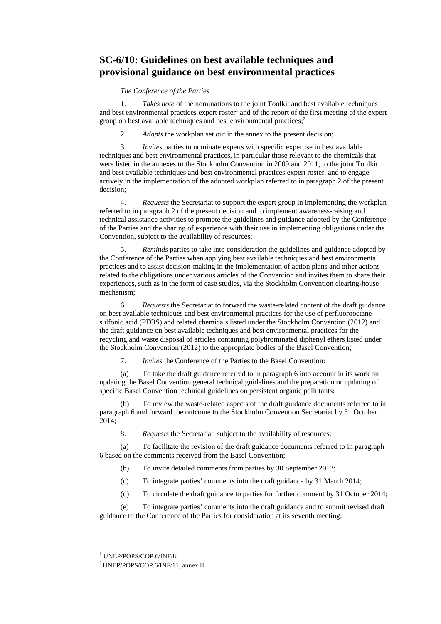## **SC-6/10: Guidelines on best available techniques and provisional guidance on best environmental practices**

#### *The Conference of the Parties*

1. *Takes note* of the nominations to the joint Toolkit and best available techniques and best environmental practices expert roster<sup>1</sup> and of the report of the first meeting of the expert group on best available techniques and best environmental practices;<sup>2</sup>

2. *Adopts* the workplan set out in the annex to the present decision;

3. *Invites* parties to nominate experts with specific expertise in best available techniques and best environmental practices, in particular those relevant to the chemicals that were listed in the annexes to the Stockholm Convention in 2009 and 2011, to the joint Toolkit and best available techniques and best environmental practices expert roster, and to engage actively in the implementation of the adopted workplan referred to in paragraph 2 of the present decision;

4. *Requests* the Secretariat to support the expert group in implementing the workplan referred to in paragraph 2 of the present decision and to implement awareness-raising and technical assistance activities to promote the guidelines and guidance adopted by the Conference of the Parties and the sharing of experience with their use in implementing obligations under the Convention, subject to the availability of resources;

5. *Reminds* parties to take into consideration the guidelines and guidance adopted by the Conference of the Parties when applying best available techniques and best environmental practices and to assist decision-making in the implementation of action plans and other actions related to the obligations under various articles of the Convention and invites them to share their experiences, such as in the form of case studies, via the Stockholm Convention clearing-house mechanism;

6. *Requests* the Secretariat to forward the waste-related content of the draft guidance on best available techniques and best environmental practices for the use of perfluorooctane sulfonic acid (PFOS) and related chemicals listed under the Stockholm Convention (2012) and the draft guidance on best available techniques and best environmental practices for the recycling and waste disposal of articles containing polybrominated diphenyl ethers listed under the Stockholm Convention (2012) to the appropriate bodies of the Basel Convention;

7. *Invites* the Conference of the Parties to the Basel Convention:

(a) To take the draft guidance referred to in paragraph 6 into account in its work on updating the Basel Convention general technical guidelines and the preparation or updating of specific Basel Convention technical guidelines on persistent organic pollutants;

To review the waste-related aspects of the draft guidance documents referred to in paragraph 6 and forward the outcome to the Stockholm Convention Secretariat by 31 October 2014;

8. *Requests* the Secretariat, subject to the availability of resources:

(a) To facilitate the revision of the draft guidance documents referred to in paragraph 6 based on the comments received from the Basel Convention;

- (b) To invite detailed comments from parties by 30 September 2013;
- (c) To integrate parties' comments into the draft guidance by 31 March 2014;
- (d) To circulate the draft guidance to parties for further comment by 31 October 2014;

(e) To integrate parties' comments into the draft guidance and to submit revised draft guidance to the Conference of the Parties for consideration at its seventh meeting;

<sup>&</sup>lt;u>1</u> <sup>1</sup> UNEP/POPS/COP.6/INF/8.

<sup>2</sup> UNEP/POPS/COP.6/INF/11, annex II.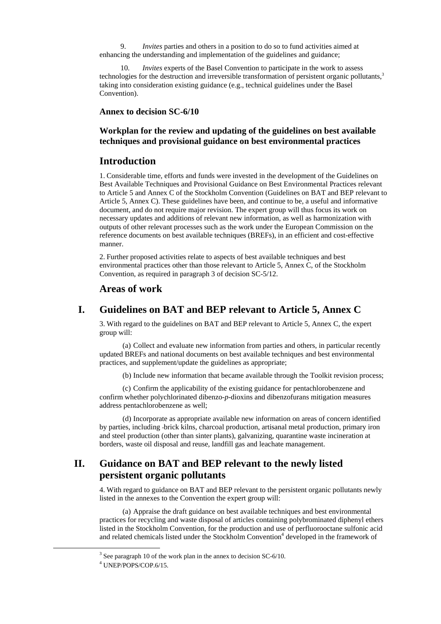9. *Invites* parties and others in a position to do so to fund activities aimed at enhancing the understanding and implementation of the guidelines and guidance;

10. *Invites* experts of the Basel Convention to participate in the work to assess technologies for the destruction and irreversible transformation of persistent organic pollutants,<sup>3</sup> taking into consideration existing guidance (e.g., technical guidelines under the Basel Convention).

**Annex to decision SC-6/10** 

#### **Workplan for the review and updating of the guidelines on best available techniques and provisional guidance on best environmental practices**

### **Introduction**

1. Considerable time, efforts and funds were invested in the development of the Guidelines on Best Available Techniques and Provisional Guidance on Best Environmental Practices relevant to Article 5 and Annex C of the Stockholm Convention (Guidelines on BAT and BEP relevant to Article 5, Annex C). These guidelines have been, and continue to be, a useful and informative document, and do not require major revision. The expert group will thus focus its work on necessary updates and additions of relevant new information, as well as harmonization with outputs of other relevant processes such as the work under the European Commission on the reference documents on best available techniques (BREFs), in an efficient and cost-effective manner.

2. Further proposed activities relate to aspects of best available techniques and best environmental practices other than those relevant to Article 5, Annex C, of the Stockholm Convention, as required in paragraph 3 of decision SC-5/12.

## **Areas of work**

### **I. Guidelines on BAT and BEP relevant to Article 5, Annex C**

3. With regard to the guidelines on BAT and BEP relevant to Article 5, Annex C, the expert group will:

(a) Collect and evaluate new information from parties and others, in particular recently updated BREFs and national documents on best available techniques and best environmental practices, and supplement/update the guidelines as appropriate;

(b) Include new information that became available through the Toolkit revision process;

(c) Confirm the applicability of the existing guidance for pentachlorobenzene and confirm whether polychlorinated dibenzo-*p*-dioxins and dibenzofurans mitigation measures address pentachlorobenzene as well;

(d) Incorporate as appropriate available new information on areas of concern identified by parties, including brick kilns, charcoal production, artisanal metal production, primary iron and steel production (other than sinter plants), galvanizing, quarantine waste incineration at borders, waste oil disposal and reuse, landfill gas and leachate management.

## **II. Guidance on BAT and BEP relevant to the newly listed persistent organic pollutants**

4. With regard to guidance on BAT and BEP relevant to the persistent organic pollutants newly listed in the annexes to the Convention the expert group will:

(a) Appraise the draft guidance on best available techniques and best environmental practices for recycling and waste disposal of articles containing polybrominated diphenyl ethers listed in the Stockholm Convention, for the production and use of perfluorooctane sulfonic acid and related chemicals listed under the Stockholm Convention<sup>4</sup> developed in the framework of

 <sup>3</sup>  $3$  See paragraph 10 of the work plan in the annex to decision SC-6/10.

 $4$  UNEP/POPS/COP 6/15